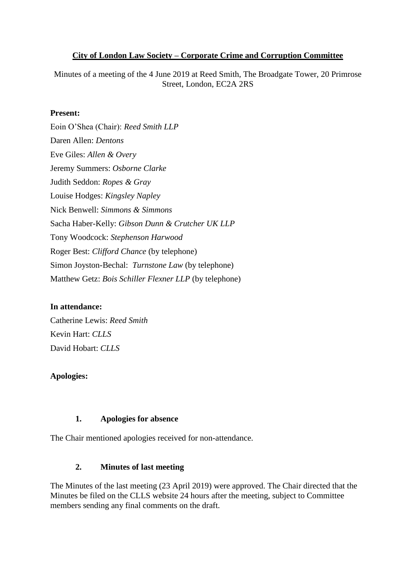### **City of London Law Society – Corporate Crime and Corruption Committee**

Minutes of a meeting of the 4 June 2019 at Reed Smith, The Broadgate Tower, 20 Primrose Street, London, EC2A 2RS

### **Present:**

Eoin O'Shea (Chair): *Reed Smith LLP* Daren Allen: *Dentons*  Eve Giles: *Allen & Overy*  Jeremy Summers: *Osborne Clarke* Judith Seddon: *Ropes & Gray* Louise Hodges: *Kingsley Napley* Nick Benwell: *Simmons & Simmons* Sacha Haber-Kelly: *Gibson Dunn & Crutcher UK LLP* Tony Woodcock: *Stephenson Harwood* Roger Best: *Clifford Chance* (by telephone) Simon Joyston-Bechal: *Turnstone Law* (by telephone) Matthew Getz: *Bois Schiller Flexner LLP* (by telephone)

#### **In attendance:**

Catherine Lewis: *Reed Smith* Kevin Hart: *CLLS* David Hobart: *CLLS*

### **Apologies:**

#### **1. Apologies for absence**

The Chair mentioned apologies received for non-attendance.

### **2. Minutes of last meeting**

The Minutes of the last meeting (23 April 2019) were approved. The Chair directed that the Minutes be filed on the CLLS website 24 hours after the meeting, subject to Committee members sending any final comments on the draft.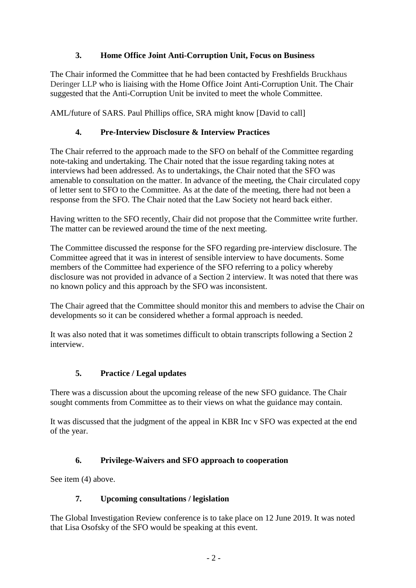# **3. Home Office Joint Anti-Corruption Unit, Focus on Business**

The Chair informed the Committee that he had been contacted by Freshfields Bruckhaus Deringer LLP who is liaising with the Home Office Joint Anti-Corruption Unit. The Chair suggested that the Anti-Corruption Unit be invited to meet the whole Committee.

AML/future of SARS. Paul Phillips office, SRA might know [David to call]

## **4. Pre-Interview Disclosure & Interview Practices**

The Chair referred to the approach made to the SFO on behalf of the Committee regarding note-taking and undertaking. The Chair noted that the issue regarding taking notes at interviews had been addressed. As to undertakings, the Chair noted that the SFO was amenable to consultation on the matter. In advance of the meeting, the Chair circulated copy of letter sent to SFO to the Committee. As at the date of the meeting, there had not been a response from the SFO. The Chair noted that the Law Society not heard back either.

Having written to the SFO recently, Chair did not propose that the Committee write further. The matter can be reviewed around the time of the next meeting.

The Committee discussed the response for the SFO regarding pre-interview disclosure. The Committee agreed that it was in interest of sensible interview to have documents. Some members of the Committee had experience of the SFO referring to a policy whereby disclosure was not provided in advance of a Section 2 interview. It was noted that there was no known policy and this approach by the SFO was inconsistent.

The Chair agreed that the Committee should monitor this and members to advise the Chair on developments so it can be considered whether a formal approach is needed.

It was also noted that it was sometimes difficult to obtain transcripts following a Section 2 interview.

## **5. Practice / Legal updates**

There was a discussion about the upcoming release of the new SFO guidance. The Chair sought comments from Committee as to their views on what the guidance may contain.

It was discussed that the judgment of the appeal in KBR Inc v SFO was expected at the end of the year.

## **6. Privilege-Waivers and SFO approach to cooperation**

See item (4) above.

### **7. Upcoming consultations / legislation**

The Global Investigation Review conference is to take place on 12 June 2019. It was noted that Lisa Osofsky of the SFO would be speaking at this event.